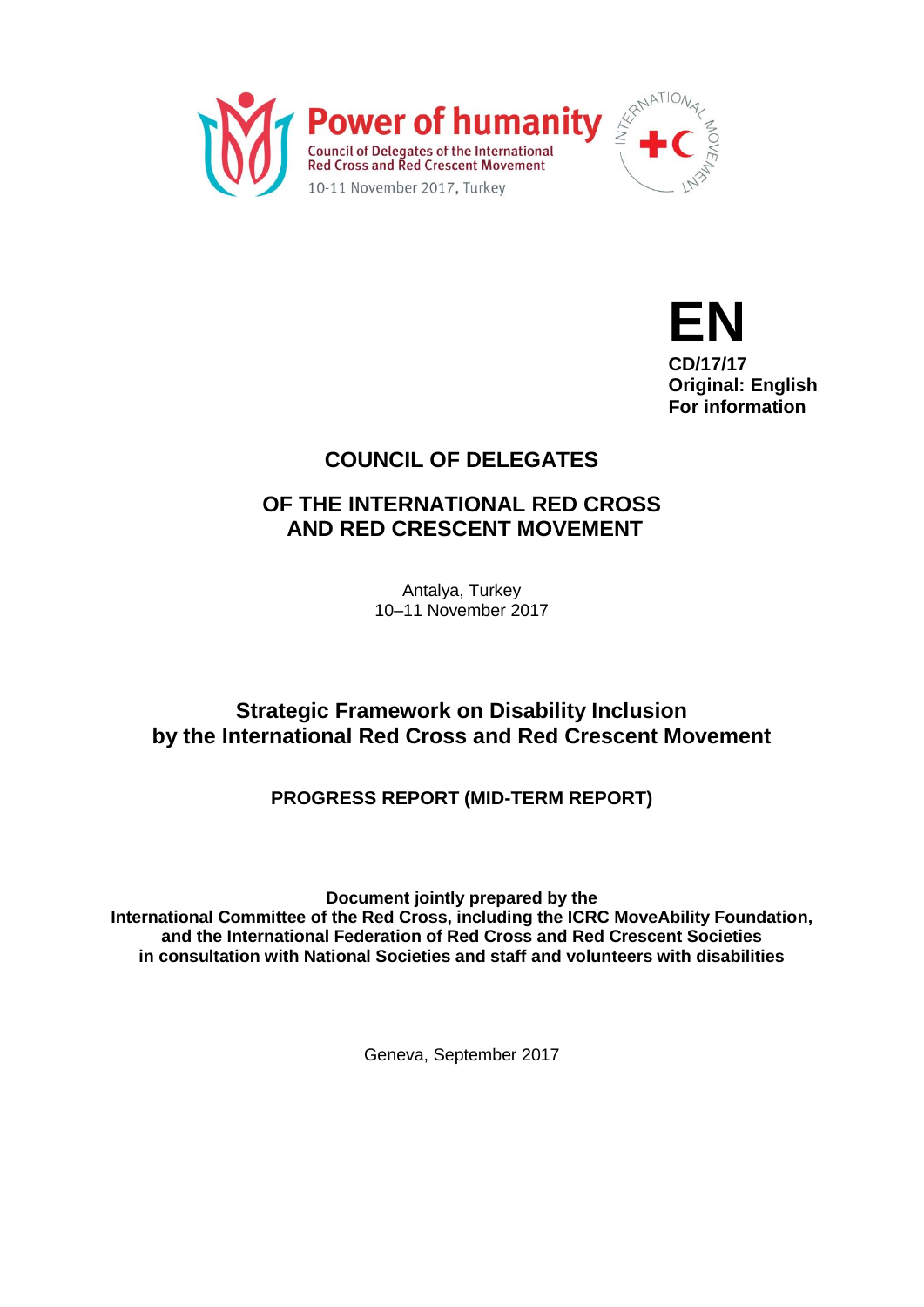



# **COUNCIL OF DELEGATES**

# **OF THE INTERNATIONAL RED CROSS AND RED CRESCENT MOVEMENT**

Antalya, Turkey 10–11 November 2017

# **Strategic Framework on Disability Inclusion by the International Red Cross and Red Crescent Movement**

# **PROGRESS REPORT (MID-TERM REPORT)**

**Document jointly prepared by the International Committee of the Red Cross, including the ICRC MoveAbility Foundation, and the International Federation of Red Cross and Red Crescent Societies in consultation with National Societies and staff and volunteers with disabilities**

Geneva, September 2017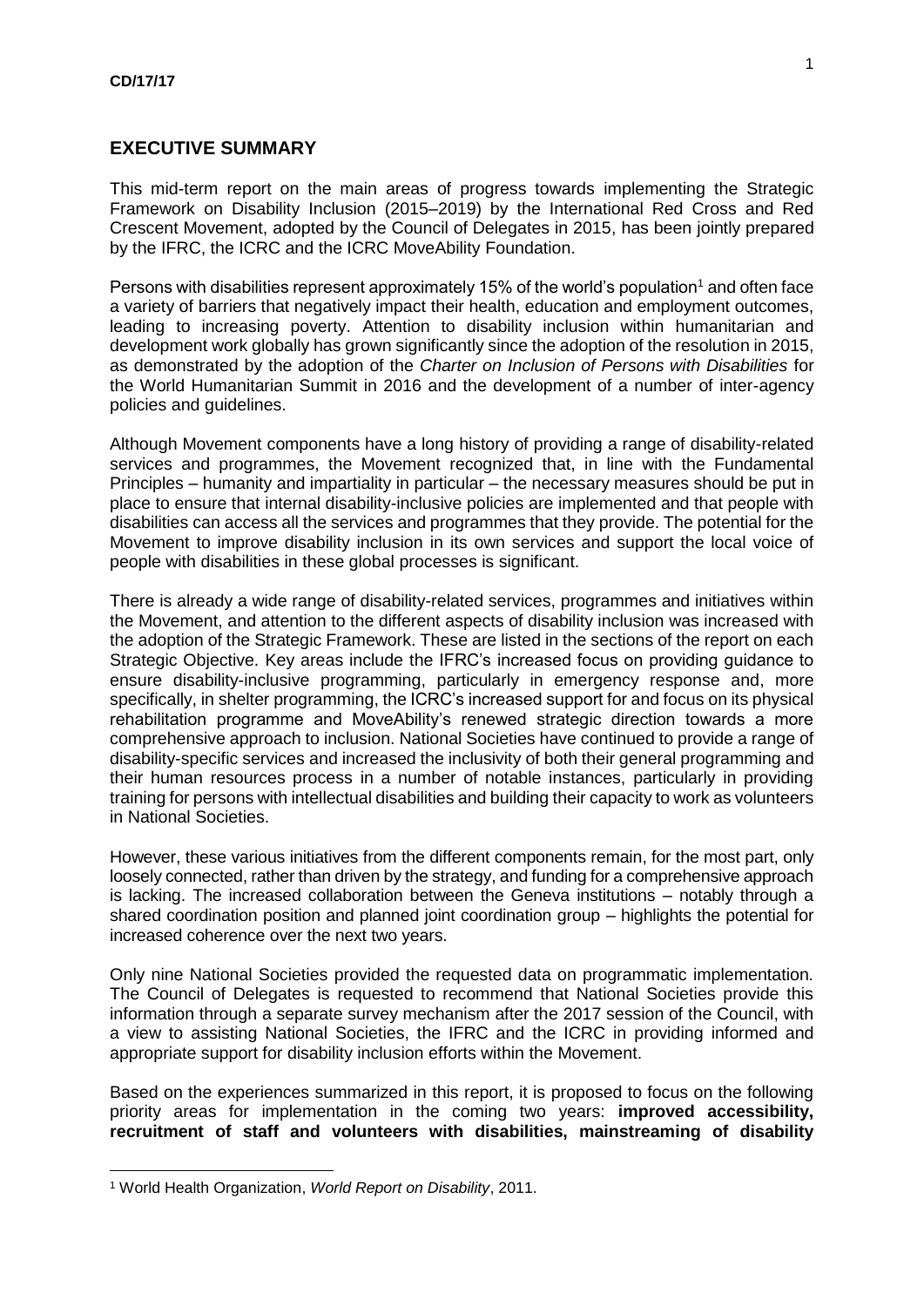# **EXECUTIVE SUMMARY**

This mid-term report on the main areas of progress towards implementing the Strategic Framework on Disability Inclusion (2015–2019) by the International Red Cross and Red Crescent Movement, adopted by the Council of Delegates in 2015, has been jointly prepared by the IFRC, the ICRC and the ICRC MoveAbility Foundation.

Persons with disabilities represent approximately 15% of the world's population<sup>1</sup> and often face a variety of barriers that negatively impact their health, education and employment outcomes, leading to increasing poverty. Attention to disability inclusion within humanitarian and development work globally has grown significantly since the adoption of the resolution in 2015, as demonstrated by the adoption of the *Charter on Inclusion of Persons with Disabilities* for the World Humanitarian Summit in 2016 and the development of a number of inter-agency policies and guidelines.

Although Movement components have a long history of providing a range of disability-related services and programmes, the Movement recognized that, in line with the Fundamental Principles – humanity and impartiality in particular – the necessary measures should be put in place to ensure that internal disability-inclusive policies are implemented and that people with disabilities can access all the services and programmes that they provide. The potential for the Movement to improve disability inclusion in its own services and support the local voice of people with disabilities in these global processes is significant.

There is already a wide range of disability-related services, programmes and initiatives within the Movement, and attention to the different aspects of disability inclusion was increased with the adoption of the Strategic Framework. These are listed in the sections of the report on each Strategic Objective. Key areas include the IFRC's increased focus on providing guidance to ensure disability-inclusive programming, particularly in emergency response and, more specifically, in shelter programming, the ICRC's increased support for and focus on its physical rehabilitation programme and MoveAbility's renewed strategic direction towards a more comprehensive approach to inclusion. National Societies have continued to provide a range of disability-specific services and increased the inclusivity of both their general programming and their human resources process in a number of notable instances, particularly in providing training for persons with intellectual disabilities and building their capacity to work as volunteers in National Societies.

However, these various initiatives from the different components remain, for the most part, only loosely connected, rather than driven by the strategy, and funding for a comprehensive approach is lacking. The increased collaboration between the Geneva institutions – notably through a shared coordination position and planned joint coordination group – highlights the potential for increased coherence over the next two years.

Only nine National Societies provided the requested data on programmatic implementation. The Council of Delegates is requested to recommend that National Societies provide this information through a separate survey mechanism after the 2017 session of the Council, with a view to assisting National Societies, the IFRC and the ICRC in providing informed and appropriate support for disability inclusion efforts within the Movement.

Based on the experiences summarized in this report, it is proposed to focus on the following priority areas for implementation in the coming two years: **improved accessibility, recruitment of staff and volunteers with disabilities, mainstreaming of disability** 

1

<sup>1</sup> World Health Organization, *World Report on Disability*, 2011.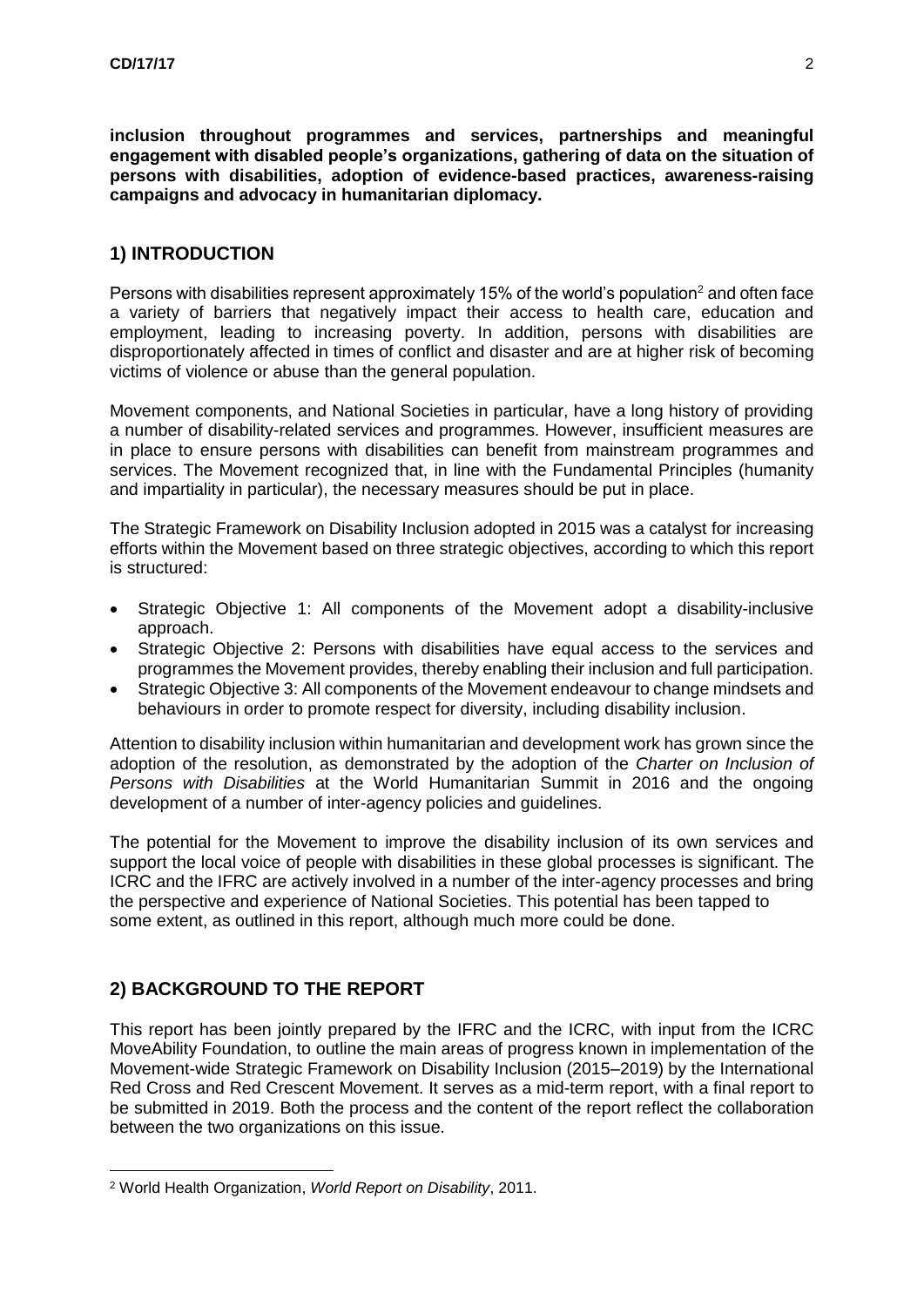**inclusion throughout programmes and services, partnerships and meaningful engagement with disabled people's organizations, gathering of data on the situation of persons with disabilities, adoption of evidence-based practices, awareness-raising campaigns and advocacy in humanitarian diplomacy.**

# **1) INTRODUCTION**

Persons with disabilities represent approximately 15% of the world's population<sup>2</sup> and often face a variety of barriers that negatively impact their access to health care, education and employment, leading to increasing poverty. In addition, persons with disabilities are disproportionately affected in times of conflict and disaster and are at higher risk of becoming victims of violence or abuse than the general population.

Movement components, and National Societies in particular, have a long history of providing a number of disability-related services and programmes. However, insufficient measures are in place to ensure persons with disabilities can benefit from mainstream programmes and services. The Movement recognized that, in line with the Fundamental Principles (humanity and impartiality in particular), the necessary measures should be put in place.

The Strategic Framework on Disability Inclusion adopted in 2015 was a catalyst for increasing efforts within the Movement based on three strategic objectives, according to which this report is structured:

- Strategic Objective 1: All components of the Movement adopt a disability-inclusive approach.
- Strategic Objective 2: Persons with disabilities have equal access to the services and programmes the Movement provides, thereby enabling their inclusion and full participation.
- Strategic Objective 3: All components of the Movement endeavour to change mindsets and behaviours in order to promote respect for diversity, including disability inclusion.

Attention to disability inclusion within humanitarian and development work has grown since the adoption of the resolution, as demonstrated by the adoption of the *Charter on Inclusion of Persons with Disabilities* at the World Humanitarian Summit in 2016 and the ongoing development of a number of inter-agency policies and guidelines.

The potential for the Movement to improve the disability inclusion of its own services and support the local voice of people with disabilities in these global processes is significant. The ICRC and the IFRC are actively involved in a number of the inter-agency processes and bring the perspective and experience of National Societies. This potential has been tapped to some extent, as outlined in this report, although much more could be done.

# **2) BACKGROUND TO THE REPORT**

1

This report has been jointly prepared by the IFRC and the ICRC, with input from the ICRC MoveAbility Foundation, to outline the main areas of progress known in implementation of the Movement-wide Strategic Framework on Disability Inclusion (2015–2019) by the International Red Cross and Red Crescent Movement. It serves as a mid-term report, with a final report to be submitted in 2019. Both the process and the content of the report reflect the collaboration between the two organizations on this issue.

<sup>2</sup> World Health Organization, *World Report on Disability*, 2011.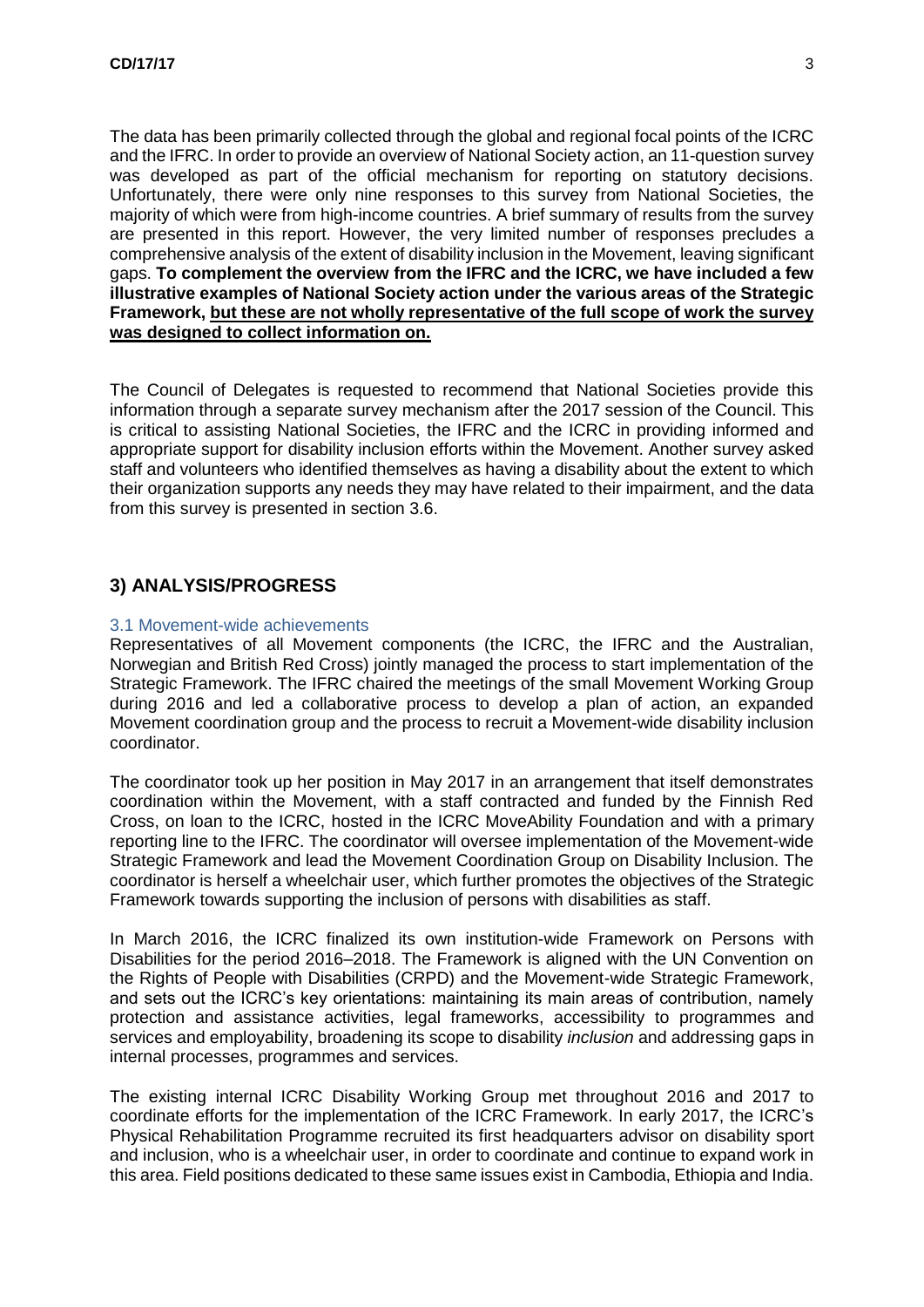The data has been primarily collected through the global and regional focal points of the ICRC and the IFRC. In order to provide an overview of National Society action, an 11-question survey was developed as part of the official mechanism for reporting on statutory decisions. Unfortunately, there were only nine responses to this survey from National Societies, the majority of which were from high-income countries. A brief summary of results from the survey are presented in this report. However, the very limited number of responses precludes a comprehensive analysis of the extent of disability inclusion in the Movement, leaving significant gaps. **To complement the overview from the IFRC and the ICRC, we have included a few illustrative examples of National Society action under the various areas of the Strategic Framework, but these are not wholly representative of the full scope of work the survey was designed to collect information on.**

The Council of Delegates is requested to recommend that National Societies provide this information through a separate survey mechanism after the 2017 session of the Council. This is critical to assisting National Societies, the IFRC and the ICRC in providing informed and appropriate support for disability inclusion efforts within the Movement. Another survey asked staff and volunteers who identified themselves as having a disability about the extent to which their organization supports any needs they may have related to their impairment, and the data from this survey is presented in section 3.6.

# **3) ANALYSIS/PROGRESS**

#### 3.1 Movement-wide achievements

Representatives of all Movement components (the ICRC, the IFRC and the Australian, Norwegian and British Red Cross) jointly managed the process to start implementation of the Strategic Framework. The IFRC chaired the meetings of the small Movement Working Group during 2016 and led a collaborative process to develop a plan of action, an expanded Movement coordination group and the process to recruit a Movement-wide disability inclusion coordinator.

The coordinator took up her position in May 2017 in an arrangement that itself demonstrates coordination within the Movement, with a staff contracted and funded by the Finnish Red Cross, on loan to the ICRC, hosted in the ICRC MoveAbility Foundation and with a primary reporting line to the IFRC. The coordinator will oversee implementation of the Movement-wide Strategic Framework and lead the Movement Coordination Group on Disability Inclusion. The coordinator is herself a wheelchair user, which further promotes the objectives of the Strategic Framework towards supporting the inclusion of persons with disabilities as staff.

In March 2016, the ICRC finalized its own institution-wide Framework on Persons with Disabilities for the period 2016–2018. The Framework is aligned with the UN Convention on the Rights of People with Disabilities (CRPD) and the Movement-wide Strategic Framework, and sets out the ICRC's key orientations: maintaining its main areas of contribution, namely protection and assistance activities, legal frameworks, accessibility to programmes and services and employability, broadening its scope to disability *inclusion* and addressing gaps in internal processes, programmes and services.

The existing internal ICRC Disability Working Group met throughout 2016 and 2017 to coordinate efforts for the implementation of the ICRC Framework. In early 2017, the ICRC's Physical Rehabilitation Programme recruited its first headquarters advisor on disability sport and inclusion, who is a wheelchair user, in order to coordinate and continue to expand work in this area. Field positions dedicated to these same issues exist in Cambodia, Ethiopia and India.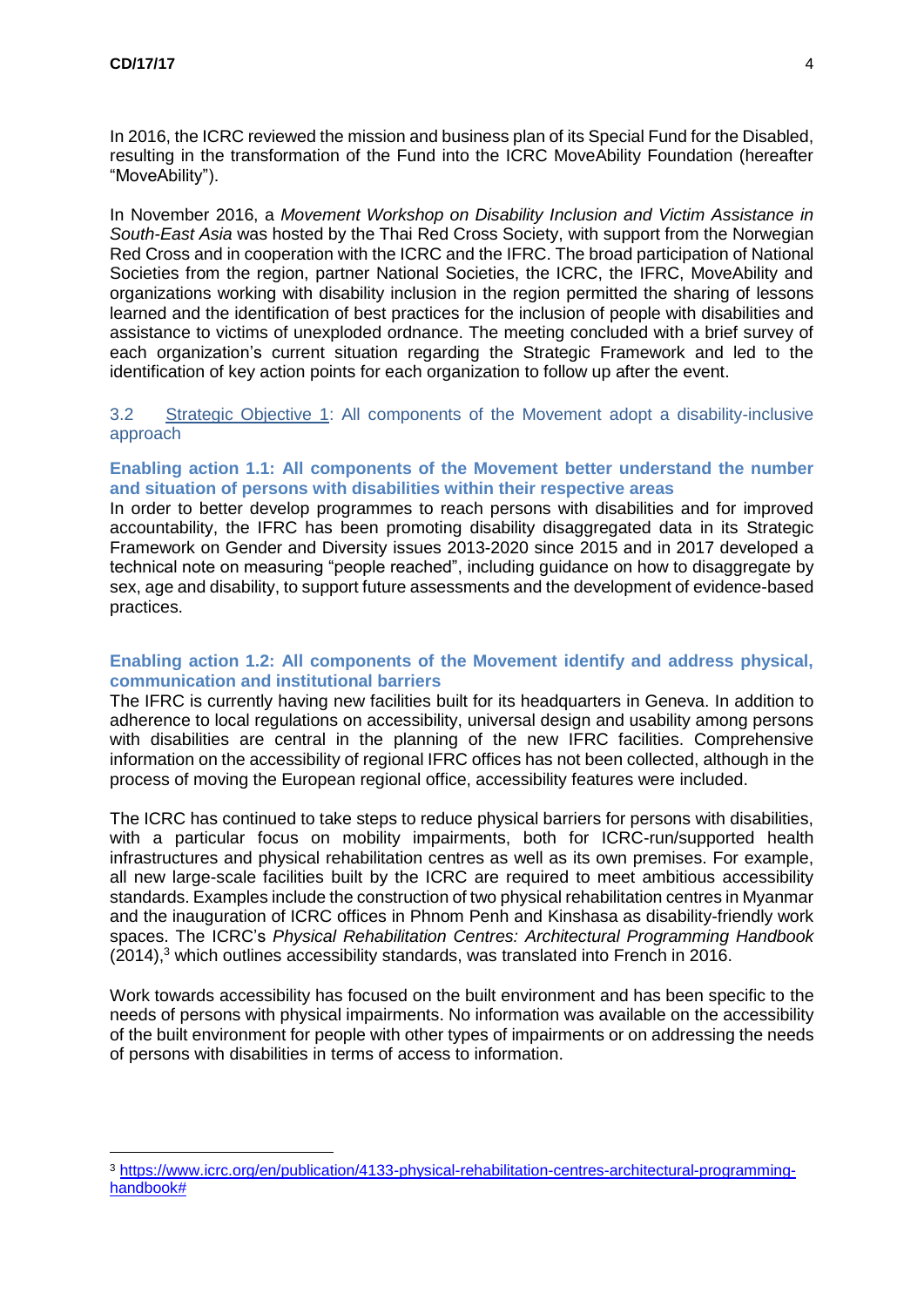<u>.</u>

In 2016, the ICRC reviewed the mission and business plan of its Special Fund for the Disabled, resulting in the transformation of the Fund into the ICRC MoveAbility Foundation (hereafter "MoveAbility").

In November 2016, a *Movement Workshop on Disability Inclusion and Victim Assistance in South-East Asia* was hosted by the Thai Red Cross Society, with support from the Norwegian Red Cross and in cooperation with the ICRC and the IFRC. The broad participation of National Societies from the region, partner National Societies, the ICRC, the IFRC, MoveAbility and organizations working with disability inclusion in the region permitted the sharing of lessons learned and the identification of best practices for the inclusion of people with disabilities and assistance to victims of unexploded ordnance. The meeting concluded with a brief survey of each organization's current situation regarding the Strategic Framework and led to the identification of key action points for each organization to follow up after the event.

3.2 Strategic Objective 1: All components of the Movement adopt a disability-inclusive approach

### **Enabling action 1.1: All components of the Movement better understand the number and situation of persons with disabilities within their respective areas**

In order to better develop programmes to reach persons with disabilities and for improved accountability, the IFRC has been promoting disability disaggregated data in its Strategic Framework on Gender and Diversity issues 2013-2020 since 2015 and in 2017 developed a technical note on measuring "people reached", including guidance on how to disaggregate by sex, age and disability, to support future assessments and the development of evidence-based practices.

# **Enabling action 1.2: All components of the Movement identify and address physical, communication and institutional barriers**

The IFRC is currently having new facilities built for its headquarters in Geneva. In addition to adherence to local regulations on accessibility, universal design and usability among persons with disabilities are central in the planning of the new IFRC facilities. Comprehensive information on the accessibility of regional IFRC offices has not been collected, although in the process of moving the European regional office, accessibility features were included.

The ICRC has continued to take steps to reduce physical barriers for persons with disabilities, with a particular focus on mobility impairments, both for ICRC-run/supported health infrastructures and physical rehabilitation centres as well as its own premises. For example, all new large-scale facilities built by the ICRC are required to meet ambitious accessibility standards. Examples include the construction of two physical rehabilitation centres in Myanmar and the inauguration of ICRC offices in Phnom Penh and Kinshasa as disability-friendly work spaces. The ICRC's *Physical Rehabilitation Centres: Architectural Programming Handbook*  (2014),<sup>3</sup> which outlines accessibility standards, was translated into French in 2016.

Work towards accessibility has focused on the built environment and has been specific to the needs of persons with physical impairments. No information was available on the accessibility of the built environment for people with other types of impairments or on addressing the needs of persons with disabilities in terms of access to information.

<sup>3</sup> [https://www.icrc.org/en/publication/4133-physical-rehabilitation-centres-architectural-programming](https://www.icrc.org/en/publication/4133-physical-rehabilitation-centres-architectural-programming-handbook)[handbook#](https://www.icrc.org/en/publication/4133-physical-rehabilitation-centres-architectural-programming-handbook)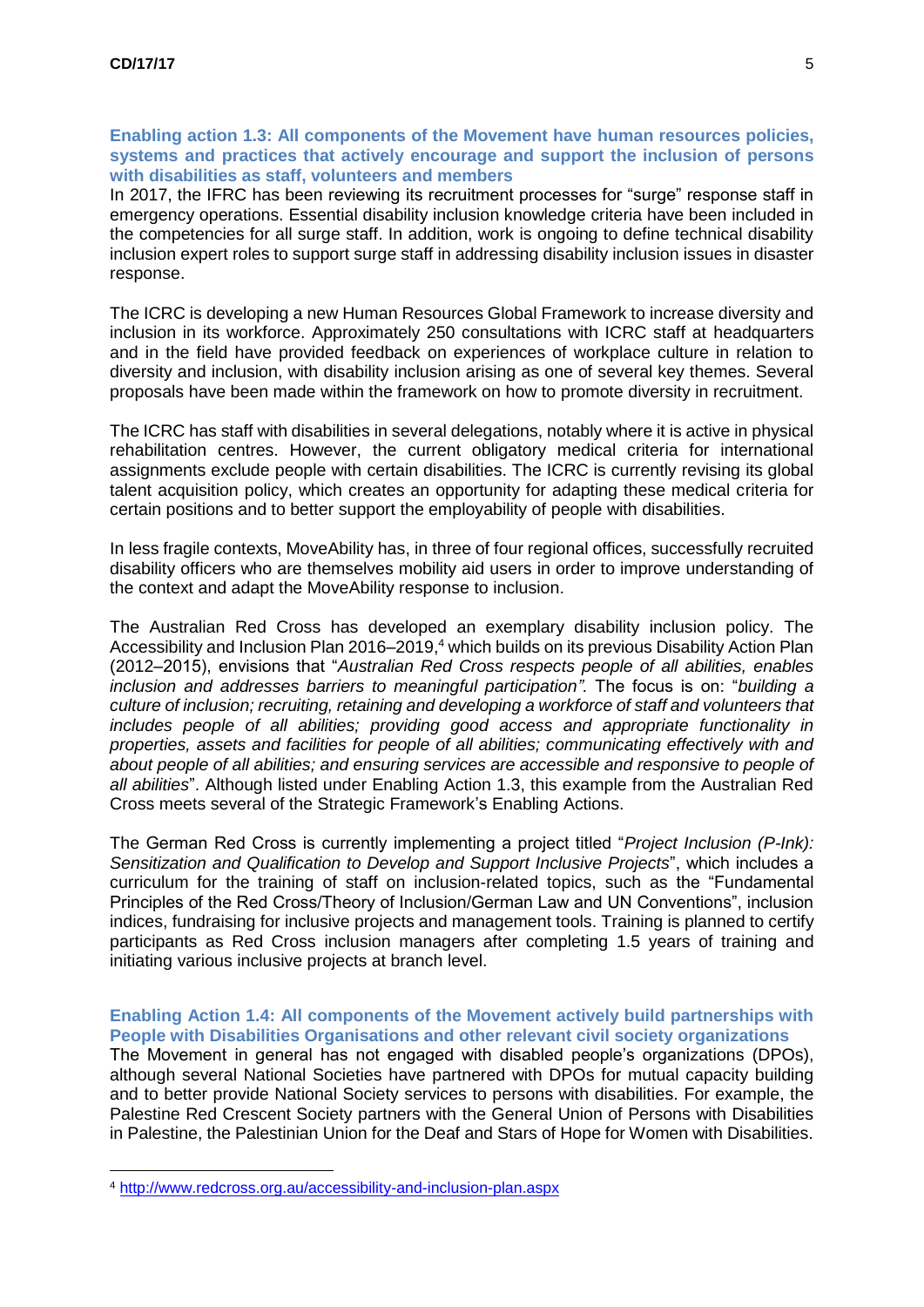### **Enabling action 1.3: All components of the Movement have human resources policies, systems and practices that actively encourage and support the inclusion of persons with disabilities as staff, volunteers and members**

In 2017, the IFRC has been reviewing its recruitment processes for "surge" response staff in emergency operations. Essential disability inclusion knowledge criteria have been included in the competencies for all surge staff. In addition, work is ongoing to define technical disability inclusion expert roles to support surge staff in addressing disability inclusion issues in disaster response.

The ICRC is developing a new Human Resources Global Framework to increase diversity and inclusion in its workforce. Approximately 250 consultations with ICRC staff at headquarters and in the field have provided feedback on experiences of workplace culture in relation to diversity and inclusion, with disability inclusion arising as one of several key themes. Several proposals have been made within the framework on how to promote diversity in recruitment.

The ICRC has staff with disabilities in several delegations, notably where it is active in physical rehabilitation centres. However, the current obligatory medical criteria for international assignments exclude people with certain disabilities. The ICRC is currently revising its global talent acquisition policy, which creates an opportunity for adapting these medical criteria for certain positions and to better support the employability of people with disabilities.

In less fragile contexts, MoveAbility has, in three of four regional offices, successfully recruited disability officers who are themselves mobility aid users in order to improve understanding of the context and adapt the MoveAbility response to inclusion.

The Australian Red Cross has developed an exemplary disability inclusion policy. The Accessibility and Inclusion Plan 2016–2019,<sup>4</sup> which builds on its previous Disability Action Plan (2012–2015), envisions that "*Australian Red Cross respects people of all abilities, enables inclusion and addresses barriers to meaningful participation".* The focus is on: "*building a culture of inclusion; recruiting, retaining and developing a workforce of staff and volunteers that includes people of all abilities; providing good access and appropriate functionality in properties, assets and facilities for people of all abilities; communicating effectively with and about people of all abilities; and ensuring services are accessible and responsive to people of all abilities*". Although listed under Enabling Action 1.3, this example from the Australian Red Cross meets several of the Strategic Framework's Enabling Actions.

The German Red Cross is currently implementing a project titled "*Project Inclusion (P-Ink): Sensitization and Qualification to Develop and Support Inclusive Projects*", which includes a curriculum for the training of staff on inclusion-related topics, such as the "Fundamental Principles of the Red Cross/Theory of Inclusion/German Law and UN Conventions", inclusion indices, fundraising for inclusive projects and management tools. Training is planned to certify participants as Red Cross inclusion managers after completing 1.5 years of training and initiating various inclusive projects at branch level.

# **Enabling Action 1.4: All components of the Movement actively build partnerships with People with Disabilities Organisations and other relevant civil society organizations**

The Movement in general has not engaged with disabled people's organizations (DPOs), although several National Societies have partnered with DPOs for mutual capacity building and to better provide National Society services to persons with disabilities. For example, the Palestine Red Crescent Society partners with the General Union of Persons with Disabilities in Palestine, the Palestinian Union for the Deaf and Stars of Hope for Women with Disabilities.

1

<sup>4</sup> <http://www.redcross.org.au/accessibility-and-inclusion-plan.aspx>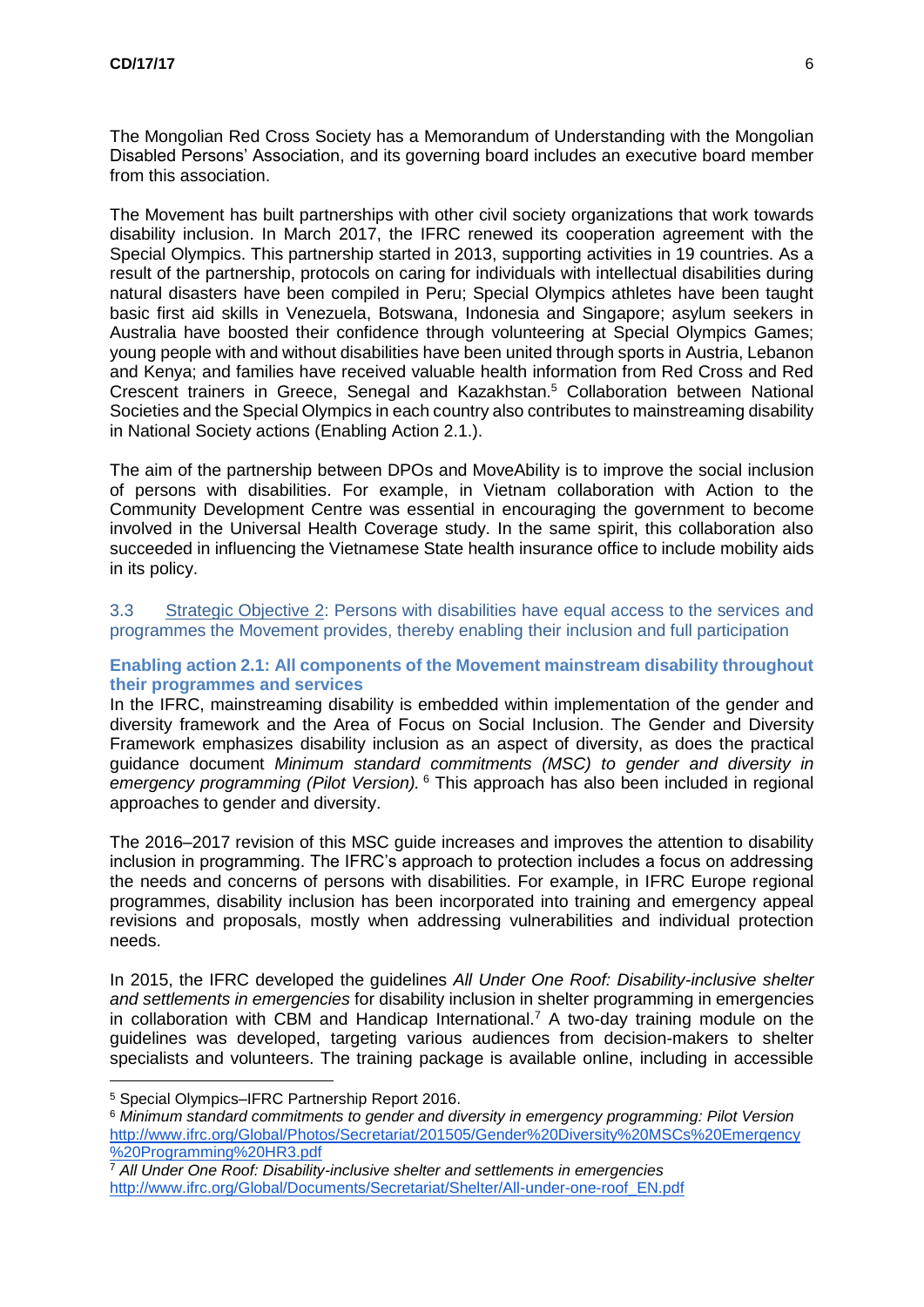The Mongolian Red Cross Society has a Memorandum of Understanding with the Mongolian Disabled Persons' Association, and its governing board includes an executive board member from this association.

The Movement has built partnerships with other civil society organizations that work towards disability inclusion. In March 2017, the IFRC renewed its cooperation agreement with the Special Olympics. This partnership started in 2013, supporting activities in 19 countries. As a result of the partnership, protocols on caring for individuals with intellectual disabilities during natural disasters have been compiled in Peru; Special Olympics athletes have been taught basic first aid skills in Venezuela, Botswana, Indonesia and Singapore; asylum seekers in Australia have boosted their confidence through volunteering at Special Olympics Games; young people with and without disabilities have been united through sports in Austria, Lebanon and Kenya; and families have received valuable health information from Red Cross and Red Crescent trainers in Greece, Senegal and Kazakhstan.<sup>5</sup> Collaboration between National Societies and the Special Olympics in each country also contributes to mainstreaming disability in National Society actions (Enabling Action 2.1.).

The aim of the partnership between DPOs and MoveAbility is to improve the social inclusion of persons with disabilities. For example, in Vietnam collaboration with Action to the Community Development Centre was essential in encouraging the government to become involved in the Universal Health Coverage study. In the same spirit, this collaboration also succeeded in influencing the Vietnamese State health insurance office to include mobility aids in its policy.

### 3.3 Strategic Objective 2: Persons with disabilities have equal access to the services and programmes the Movement provides, thereby enabling their inclusion and full participation

# **Enabling action 2.1: All components of the Movement mainstream disability throughout their programmes and services**

In the IFRC, mainstreaming disability is embedded within implementation of the gender and diversity framework and the Area of Focus on Social Inclusion. The Gender and Diversity Framework emphasizes disability inclusion as an aspect of diversity, as does the practical guidance document *Minimum standard commitments (MSC) to gender and diversity in emergency programming (Pilot Version).* <sup>6</sup> This approach has also been included in regional approaches to gender and diversity.

The 2016–2017 revision of this MSC guide increases and improves the attention to disability inclusion in programming. The IFRC's approach to protection includes a focus on addressing the needs and concerns of persons with disabilities. For example, in IFRC Europe regional programmes, disability inclusion has been incorporated into training and emergency appeal revisions and proposals, mostly when addressing vulnerabilities and individual protection needs.

In 2015, the IFRC developed the guidelines *All Under One Roof: Disability-inclusive shelter and settlements in emergencies* for disability inclusion in shelter programming in emergencies in collaboration with CBM and Handicap International.<sup>7</sup> A two-day training module on the guidelines was developed, targeting various audiences from decision-makers to shelter specialists and volunteers. The training package is available online, including in accessible

<u>.</u>

<sup>5</sup> Special Olympics–IFRC Partnership Report 2016.

<sup>6</sup> *Minimum standard commitments to gender and diversity in emergency programming: Pilot Version* [http://www.ifrc.org/Global/Photos/Secretariat/201505/Gender%20Diversity%20MSCs%20Emergency](http://www.ifrc.org/Global/Photos/Secretariat/201505/Gender%20Diversity%20MSCs%20Emergency%20Programming%20HR3.pdf) [%20Programming%20HR3.pdf](http://www.ifrc.org/Global/Photos/Secretariat/201505/Gender%20Diversity%20MSCs%20Emergency%20Programming%20HR3.pdf)

<sup>7</sup> *All Under One Roof: Disability-inclusive shelter and settlements in emergencies* [http://www.ifrc.org/Global/Documents/Secretariat/Shelter/All-under-one-roof\\_EN.pdf](http://www.ifrc.org/Global/Documents/Secretariat/Shelter/All-under-one-roof_EN.pdf)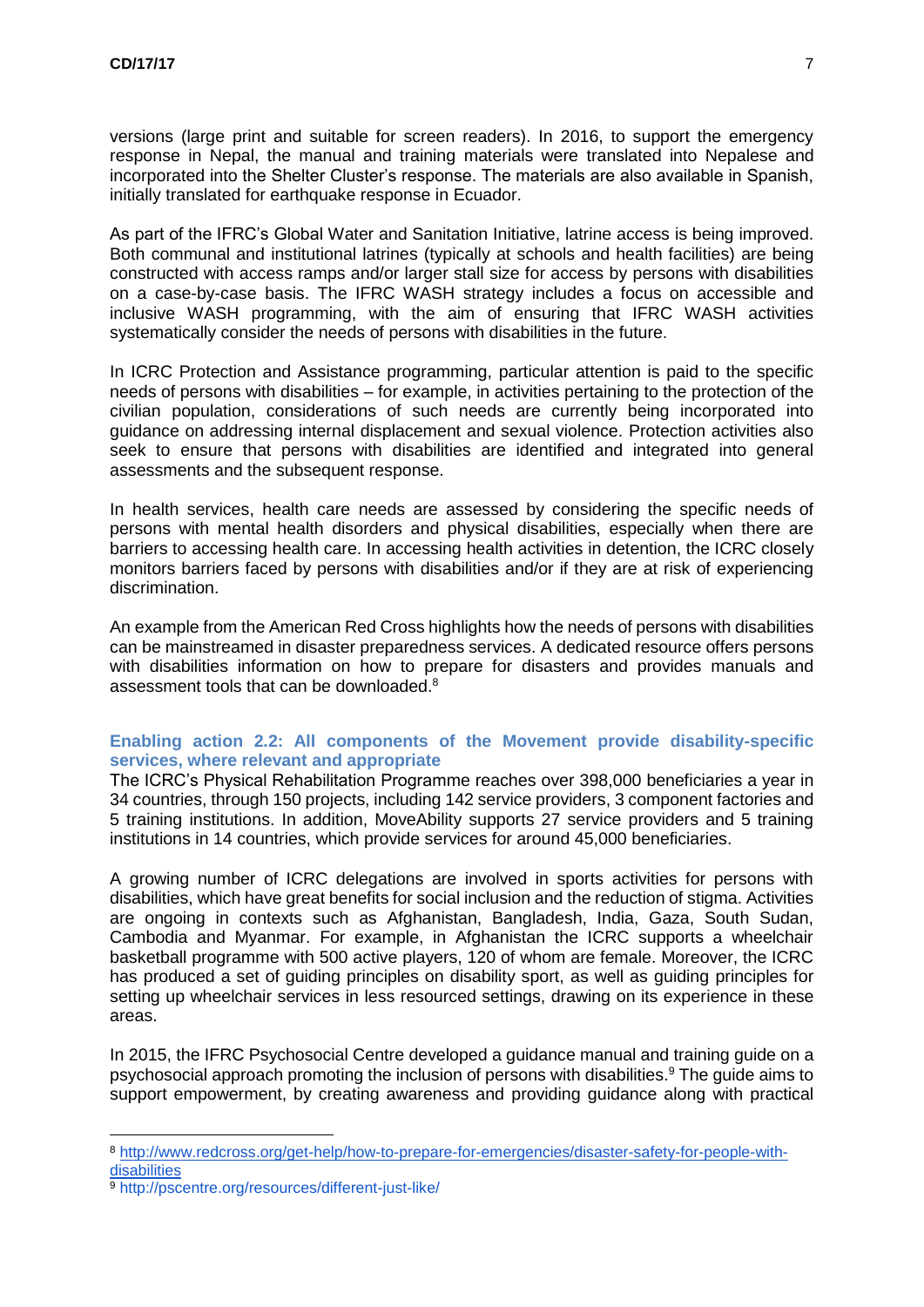versions (large print and suitable for screen readers). In 2016, to support the emergency response in Nepal, the manual and training materials were translated into Nepalese and incorporated into the Shelter Cluster's response. The materials are also available in Spanish, initially translated for earthquake response in Ecuador.

As part of the IFRC's Global Water and Sanitation Initiative, latrine access is being improved. Both communal and institutional latrines (typically at schools and health facilities) are being constructed with access ramps and/or larger stall size for access by persons with disabilities on a case-by-case basis. The IFRC WASH strategy includes a focus on accessible and inclusive WASH programming, with the aim of ensuring that IFRC WASH activities systematically consider the needs of persons with disabilities in the future.

In ICRC Protection and Assistance programming, particular attention is paid to the specific needs of persons with disabilities – for example, in activities pertaining to the protection of the civilian population, considerations of such needs are currently being incorporated into guidance on addressing internal displacement and sexual violence. Protection activities also seek to ensure that persons with disabilities are identified and integrated into general assessments and the subsequent response.

In health services, health care needs are assessed by considering the specific needs of persons with mental health disorders and physical disabilities, especially when there are barriers to accessing health care. In accessing health activities in detention, the ICRC closely monitors barriers faced by persons with disabilities and/or if they are at risk of experiencing discrimination.

An example from the American Red Cross highlights how the needs of persons with disabilities can be mainstreamed in disaster preparedness services. A dedicated resource offers persons with disabilities information on how to prepare for disasters and provides manuals and assessment tools that can be downloaded.<sup>8</sup>

# **Enabling action 2.2: All components of the Movement provide disability-specific services, where relevant and appropriate**

The ICRC's Physical Rehabilitation Programme reaches over 398,000 beneficiaries a year in 34 countries, through 150 projects, including 142 service providers, 3 component factories and 5 training institutions. In addition, MoveAbility supports 27 service providers and 5 training institutions in 14 countries, which provide services for around 45,000 beneficiaries.

A growing number of ICRC delegations are involved in sports activities for persons with disabilities, which have great benefits for social inclusion and the reduction of stigma. Activities are ongoing in contexts such as Afghanistan, Bangladesh, India, Gaza, South Sudan, Cambodia and Myanmar. For example, in Afghanistan the ICRC supports a wheelchair basketball programme with 500 active players, 120 of whom are female. Moreover, the ICRC has produced a set of guiding principles on disability sport, as well as guiding principles for setting up wheelchair services in less resourced settings, drawing on its experience in these areas.

In 2015, the IFRC Psychosocial Centre developed a guidance manual and training guide on a psychosocial approach promoting the inclusion of persons with disabilities. <sup>9</sup> The guide aims to support empowerment, by creating awareness and providing guidance along with practical

1

<sup>8</sup> [http://www.redcross.org/get-help/how-to-prepare-for-emergencies/disaster-safety-for-people-with](http://www.redcross.org/get-help/how-to-prepare-for-emergencies/disaster-safety-for-people-with-disabilities)[disabilities](http://www.redcross.org/get-help/how-to-prepare-for-emergencies/disaster-safety-for-people-with-disabilities)

<sup>9</sup> <http://pscentre.org/resources/different-just-like/>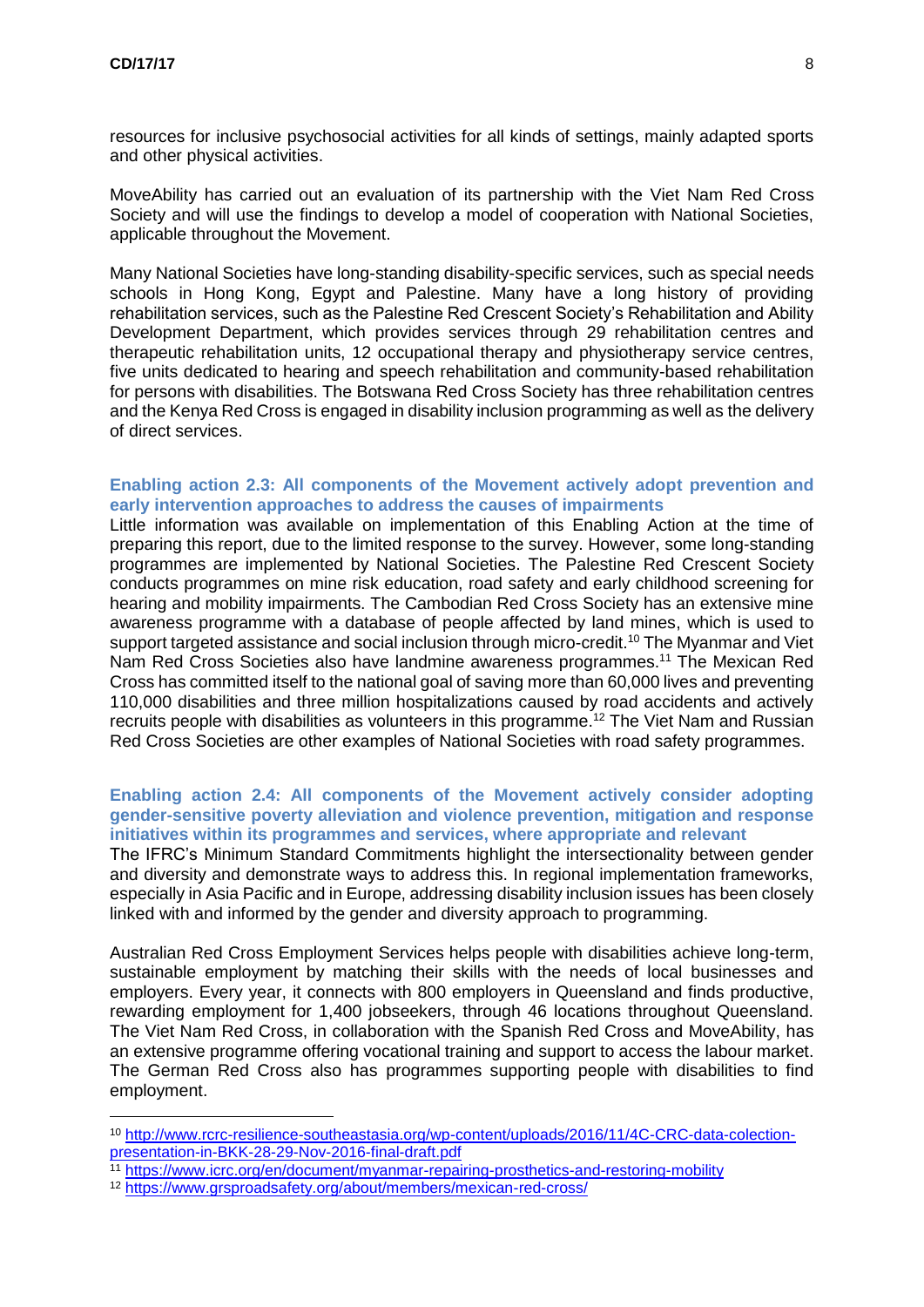1

resources for inclusive psychosocial activities for all kinds of settings, mainly adapted sports and other physical activities.

MoveAbility has carried out an evaluation of its partnership with the Viet Nam Red Cross Society and will use the findings to develop a model of cooperation with National Societies, applicable throughout the Movement.

Many National Societies have long-standing disability-specific services, such as special needs schools in Hong Kong, Egypt and Palestine. Many have a long history of providing rehabilitation services, such as the Palestine Red Crescent Society's Rehabilitation and Ability Development Department, which provides services through 29 rehabilitation centres and therapeutic rehabilitation units, 12 occupational therapy and physiotherapy service centres, five units dedicated to hearing and speech rehabilitation and community-based rehabilitation for persons with disabilities. The Botswana Red Cross Society has three rehabilitation centres and the Kenya Red Cross is engaged in disability inclusion programming as well as the delivery of direct services.

### **Enabling action 2.3: All components of the Movement actively adopt prevention and early intervention approaches to address the causes of impairments**

Little information was available on implementation of this Enabling Action at the time of preparing this report, due to the limited response to the survey. However, some long-standing programmes are implemented by National Societies. The Palestine Red Crescent Society conducts programmes on mine risk education, road safety and early childhood screening for hearing and mobility impairments. The Cambodian Red Cross Society has an extensive mine awareness programme with a database of people affected by land mines, which is used to support targeted assistance and social inclusion through micro-credit.<sup>10</sup> The Myanmar and Viet Nam Red Cross Societies also have landmine awareness programmes.<sup>11</sup> The Mexican Red Cross has committed itself to the national goal of saving more than 60,000 lives and preventing 110,000 disabilities and three million hospitalizations caused by road accidents and actively recruits people with disabilities as volunteers in this programme.<sup>12</sup> The Viet Nam and Russian Red Cross Societies are other examples of National Societies with road safety programmes.

#### **Enabling action 2.4: All components of the Movement actively consider adopting gender-sensitive poverty alleviation and violence prevention, mitigation and response initiatives within its programmes and services, where appropriate and relevant**

The IFRC's Minimum Standard Commitments highlight the intersectionality between gender and diversity and demonstrate ways to address this. In regional implementation frameworks, especially in Asia Pacific and in Europe, addressing disability inclusion issues has been closely linked with and informed by the gender and diversity approach to programming.

Australian Red Cross Employment Services helps people with disabilities achieve long-term, sustainable employment by matching their skills with the needs of local businesses and employers. Every year, it connects with 800 employers in Queensland and finds productive, rewarding employment for 1,400 jobseekers, through 46 locations throughout Queensland. The Viet Nam Red Cross, in collaboration with the Spanish Red Cross and MoveAbility, has an extensive programme offering vocational training and support to access the labour market. The German Red Cross also has programmes supporting people with disabilities to find employment.

<sup>10</sup> [http://www.rcrc-resilience-southeastasia.org/wp-content/uploads/2016/11/4C-CRC-data-colection](http://www.rcrc-resilience-southeastasia.org/wp-content/uploads/2016/11/4C-CRC-data-colection-presentation-in-BKK-28-29-Nov-2016-final-draft.pdf)[presentation-in-BKK-28-29-Nov-2016-final-draft.pdf](http://www.rcrc-resilience-southeastasia.org/wp-content/uploads/2016/11/4C-CRC-data-colection-presentation-in-BKK-28-29-Nov-2016-final-draft.pdf)

<sup>11</sup> <https://www.icrc.org/en/document/myanmar-repairing-prosthetics-and-restoring-mobility>

<sup>12</sup> <https://www.grsproadsafety.org/about/members/mexican-red-cross/>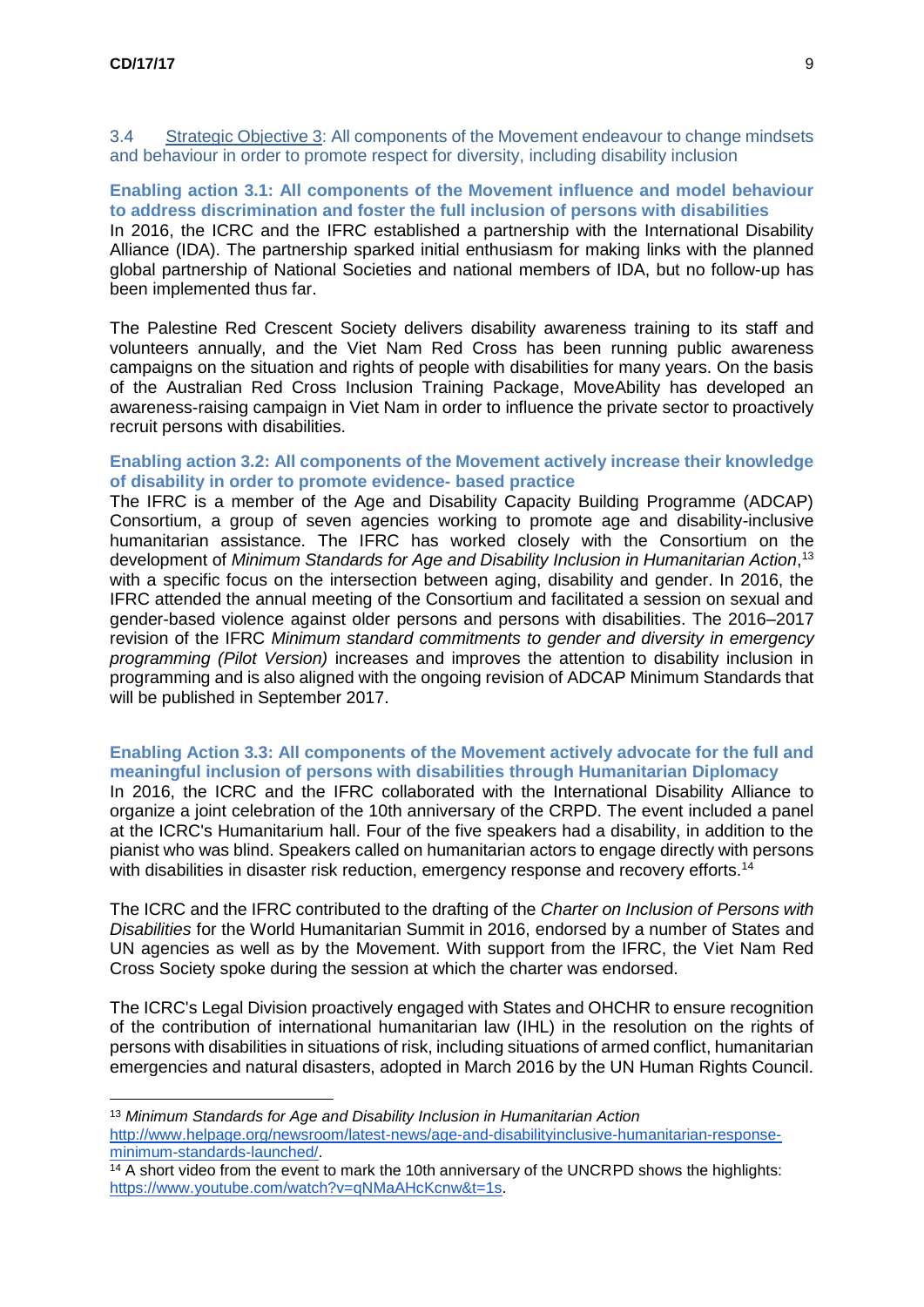<u>.</u>

3.4 Strategic Objective 3: All components of the Movement endeavour to change mindsets and behaviour in order to promote respect for diversity, including disability inclusion

**Enabling action 3.1: All components of the Movement influence and model behaviour to address discrimination and foster the full inclusion of persons with disabilities** In 2016, the ICRC and the IFRC established a partnership with the International Disability Alliance (IDA). The partnership sparked initial enthusiasm for making links with the planned global partnership of National Societies and national members of IDA, but no follow-up has been implemented thus far.

The Palestine Red Crescent Society delivers disability awareness training to its staff and volunteers annually, and the Viet Nam Red Cross has been running public awareness campaigns on the situation and rights of people with disabilities for many years. On the basis of the Australian Red Cross Inclusion Training Package, MoveAbility has developed an awareness-raising campaign in Viet Nam in order to influence the private sector to proactively recruit persons with disabilities.

### **Enabling action 3.2: All components of the Movement actively increase their knowledge of disability in order to promote evidence- based practice**

The IFRC is a member of the Age and Disability Capacity Building Programme (ADCAP) Consortium, a group of seven agencies working to promote age and disability-inclusive humanitarian assistance. The IFRC has worked closely with the Consortium on the development of *Minimum Standards for Age and Disability Inclusion in Humanitarian Action*, 13 with a specific focus on the intersection between aging, disability and gender. In 2016, the IFRC attended the annual meeting of the Consortium and facilitated a session on sexual and gender-based violence against older persons and persons with disabilities. The 2016–2017 revision of the IFRC *Minimum standard commitments to gender and diversity in emergency programming (Pilot Version)* increases and improves the attention to disability inclusion in programming and is also aligned with the ongoing revision of ADCAP Minimum Standards that will be published in September 2017.

#### **Enabling Action 3.3: All components of the Movement actively advocate for the full and meaningful inclusion of persons with disabilities through Humanitarian Diplomacy**

In 2016, the ICRC and the IFRC collaborated with the International Disability Alliance to organize a joint celebration of the 10th anniversary of the CRPD. The event included a panel at the ICRC's Humanitarium hall. Four of the five speakers had a disability, in addition to the pianist who was blind. Speakers called on humanitarian actors to engage directly with persons with disabilities in disaster risk reduction, emergency response and recovery efforts.<sup>14</sup>

The ICRC and the IFRC contributed to the drafting of the *Charter on Inclusion of Persons with Disabilities* for the World Humanitarian Summit in 2016, endorsed by a number of States and UN agencies as well as by the Movement. With support from the IFRC, the Viet Nam Red Cross Society spoke during the session at which the charter was endorsed.

The ICRC's Legal Division proactively engaged with States and OHCHR to ensure recognition of the contribution of international humanitarian law (IHL) in the resolution on the rights of persons with disabilities in situations of risk, including situations of armed conflict, humanitarian emergencies and natural disasters, adopted in March 2016 by the UN Human Rights Council.

<sup>13</sup> *Minimum Standards for Age and Disability Inclusion in Humanitarian Action* [http://www.helpage.org/newsroom/latest-news/age-and-disabilityinclusive-humanitarian-response](http://www.helpage.org/newsroom/latest-news/age-and-disabilityinclusive-humanitarian-response-minimum-standards-launched/)[minimum-standards-launched/.](http://www.helpage.org/newsroom/latest-news/age-and-disabilityinclusive-humanitarian-response-minimum-standards-launched/)

 $14$  A short video from the event to mark the 10th anniversary of the UNCRPD shows the highlights: [https://www.youtube.com/watch?v=qNMaAHcKcnw&t=1s.](https://www.youtube.com/watch?v=qNMaAHcKcnw&t=1s)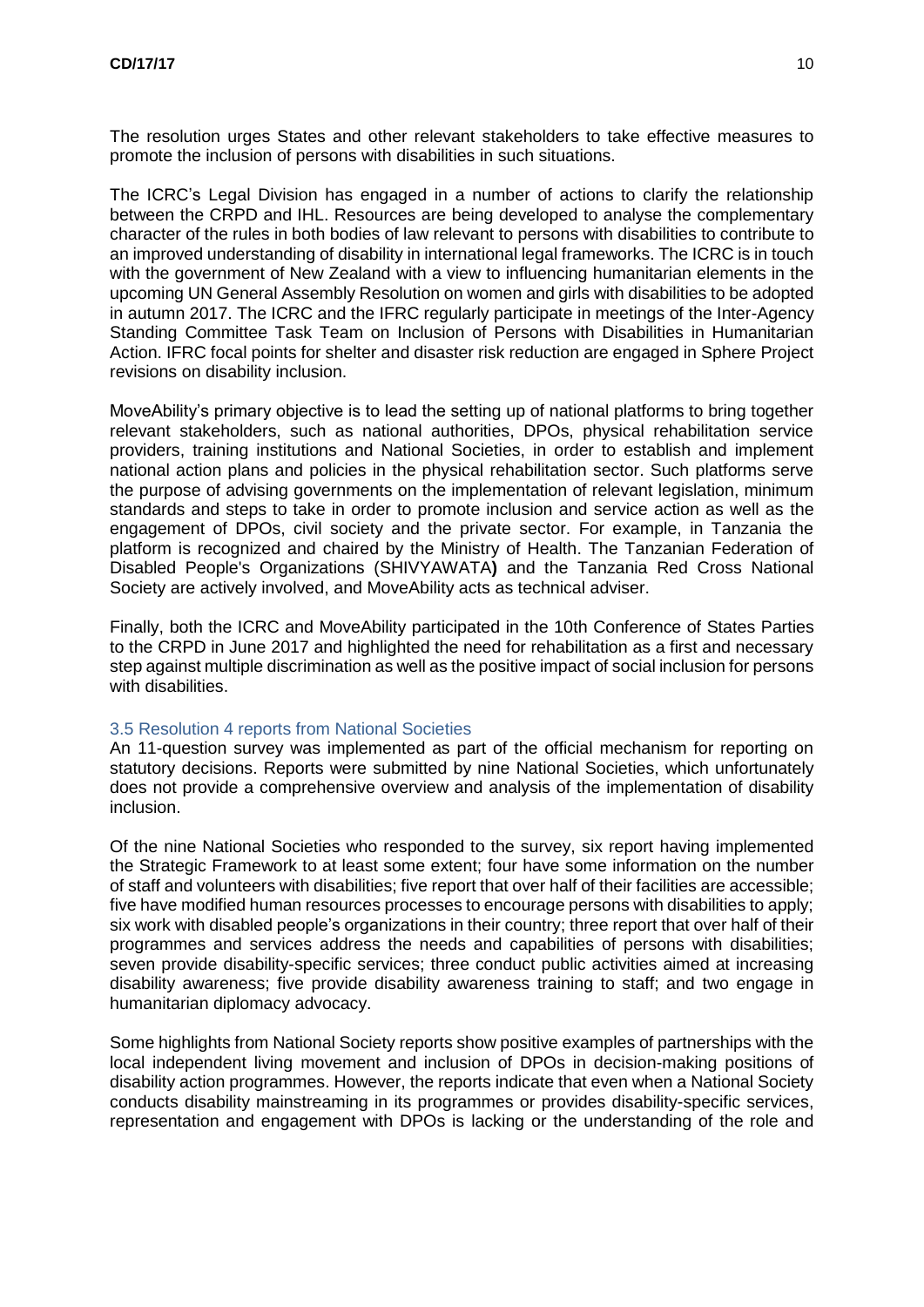The resolution urges States and other relevant stakeholders to take effective measures to promote the inclusion of persons with disabilities in such situations.

The ICRC's Legal Division has engaged in a number of actions to clarify the relationship between the CRPD and IHL. Resources are being developed to analyse the complementary character of the rules in both bodies of law relevant to persons with disabilities to contribute to an improved understanding of disability in international legal frameworks. The ICRC is in touch with the government of New Zealand with a view to influencing humanitarian elements in the upcoming UN General Assembly Resolution on women and girls with disabilities to be adopted in autumn 2017. The ICRC and the IFRC regularly participate in meetings of the Inter-Agency Standing Committee Task Team on Inclusion of Persons with Disabilities in Humanitarian Action. IFRC focal points for shelter and disaster risk reduction are engaged in Sphere Project revisions on disability inclusion.

MoveAbility's primary objective is to lead the setting up of national platforms to bring together relevant stakeholders, such as national authorities, DPOs, physical rehabilitation service providers, training institutions and National Societies, in order to establish and implement national action plans and policies in the physical rehabilitation sector. Such platforms serve the purpose of advising governments on the implementation of relevant legislation, minimum standards and steps to take in order to promote inclusion and service action as well as the engagement of DPOs, civil society and the private sector. For example, in Tanzania the platform is recognized and chaired by the Ministry of Health. The Tanzanian Federation of Disabled People's Organizations (SHIVYAWATA**)** and the Tanzania Red Cross National Society are actively involved, and MoveAbility acts as technical adviser.

Finally, both the ICRC and MoveAbility participated in the 10th Conference of States Parties to the CRPD in June 2017 and highlighted the need for rehabilitation as a first and necessary step against multiple discrimination as well as the positive impact of social inclusion for persons with disabilities.

#### 3.5 Resolution 4 reports from National Societies

An 11-question survey was implemented as part of the official mechanism for reporting on statutory decisions. Reports were submitted by nine National Societies, which unfortunately does not provide a comprehensive overview and analysis of the implementation of disability inclusion.

Of the nine National Societies who responded to the survey, six report having implemented the Strategic Framework to at least some extent; four have some information on the number of staff and volunteers with disabilities; five report that over half of their facilities are accessible; five have modified human resources processes to encourage persons with disabilities to apply; six work with disabled people's organizations in their country; three report that over half of their programmes and services address the needs and capabilities of persons with disabilities; seven provide disability-specific services; three conduct public activities aimed at increasing disability awareness; five provide disability awareness training to staff; and two engage in humanitarian diplomacy advocacy.

Some highlights from National Society reports show positive examples of partnerships with the local independent living movement and inclusion of DPOs in decision-making positions of disability action programmes. However, the reports indicate that even when a National Society conducts disability mainstreaming in its programmes or provides disability-specific services, representation and engagement with DPOs is lacking or the understanding of the role and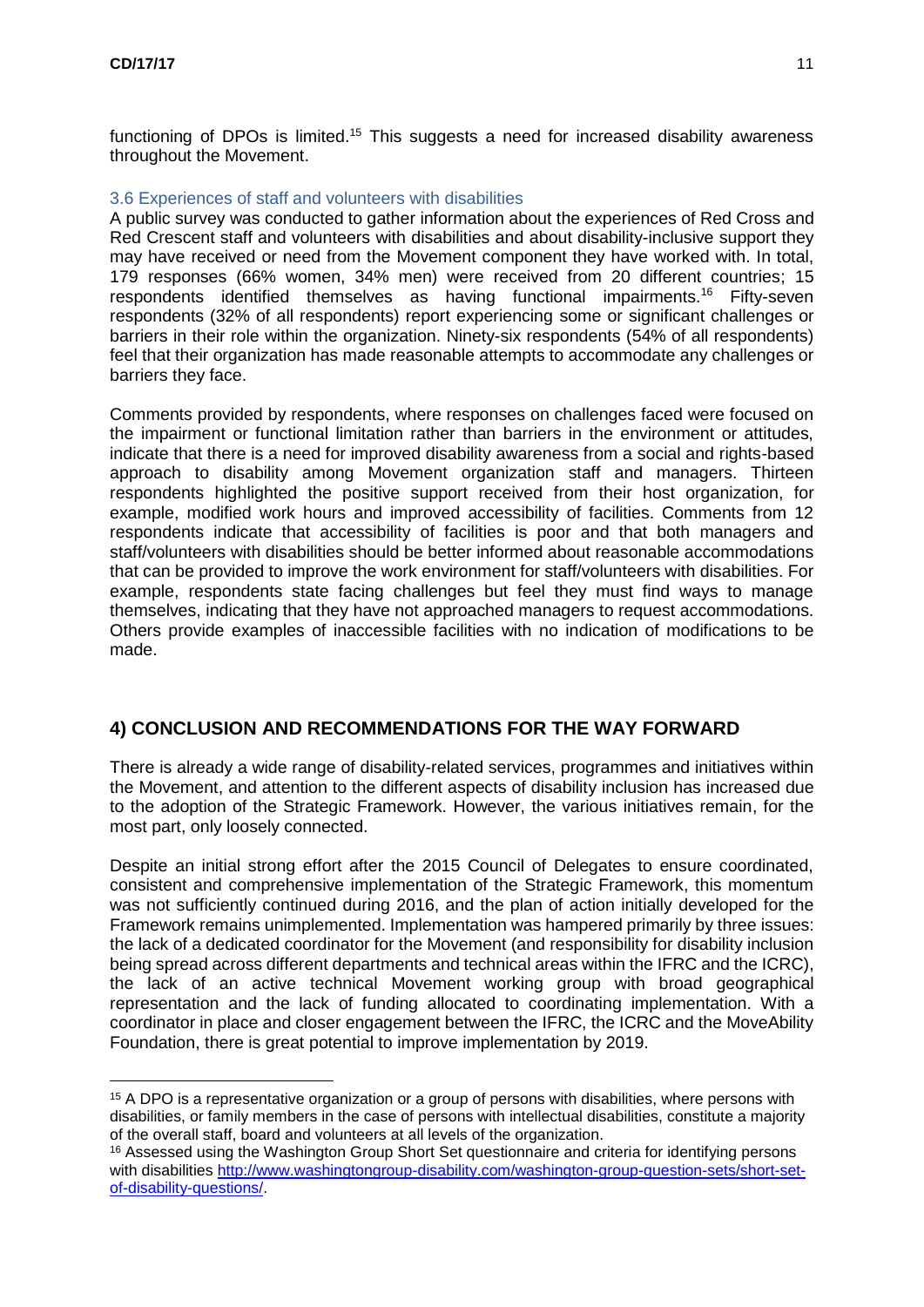<u>.</u>

functioning of DPOs is limited.<sup>15</sup> This suggests a need for increased disability awareness throughout the Movement.

#### 3.6 Experiences of staff and volunteers with disabilities

A public survey was conducted to gather information about the experiences of Red Cross and Red Crescent staff and volunteers with disabilities and about disability-inclusive support they may have received or need from the Movement component they have worked with. In total, 179 responses (66% women, 34% men) were received from 20 different countries; 15 respondents identified themselves as having functional impairments.<sup>16</sup> Fifty-seven respondents (32% of all respondents) report experiencing some or significant challenges or barriers in their role within the organization. Ninety-six respondents (54% of all respondents) feel that their organization has made reasonable attempts to accommodate any challenges or barriers they face.

Comments provided by respondents, where responses on challenges faced were focused on the impairment or functional limitation rather than barriers in the environment or attitudes, indicate that there is a need for improved disability awareness from a social and rights-based approach to disability among Movement organization staff and managers. Thirteen respondents highlighted the positive support received from their host organization, for example, modified work hours and improved accessibility of facilities. Comments from 12 respondents indicate that accessibility of facilities is poor and that both managers and staff/volunteers with disabilities should be better informed about reasonable accommodations that can be provided to improve the work environment for staff/volunteers with disabilities. For example, respondents state facing challenges but feel they must find ways to manage themselves, indicating that they have not approached managers to request accommodations. Others provide examples of inaccessible facilities with no indication of modifications to be made.

# **4) CONCLUSION AND RECOMMENDATIONS FOR THE WAY FORWARD**

There is already a wide range of disability-related services, programmes and initiatives within the Movement, and attention to the different aspects of disability inclusion has increased due to the adoption of the Strategic Framework. However, the various initiatives remain, for the most part, only loosely connected.

Despite an initial strong effort after the 2015 Council of Delegates to ensure coordinated, consistent and comprehensive implementation of the Strategic Framework, this momentum was not sufficiently continued during 2016, and the plan of action initially developed for the Framework remains unimplemented. Implementation was hampered primarily by three issues: the lack of a dedicated coordinator for the Movement (and responsibility for disability inclusion being spread across different departments and technical areas within the IFRC and the ICRC), the lack of an active technical Movement working group with broad geographical representation and the lack of funding allocated to coordinating implementation. With a coordinator in place and closer engagement between the IFRC, the ICRC and the MoveAbility Foundation, there is great potential to improve implementation by 2019.

<sup>15</sup> A DPO is a representative organization or a group of persons with disabilities, where persons with disabilities, or family members in the case of persons with intellectual disabilities, constitute a majority of the overall staff, board and volunteers at all levels of the organization.

<sup>&</sup>lt;sup>16</sup> Assessed using the Washington Group Short Set questionnaire and criteria for identifying persons with disabilities [http://www.washingtongroup-disability.com/washington-group-question-sets/short-set](http://www.washingtongroup-disability.com/washington-group-question-sets/short-set-of-disability-questions/)[of-disability-questions/.](http://www.washingtongroup-disability.com/washington-group-question-sets/short-set-of-disability-questions/)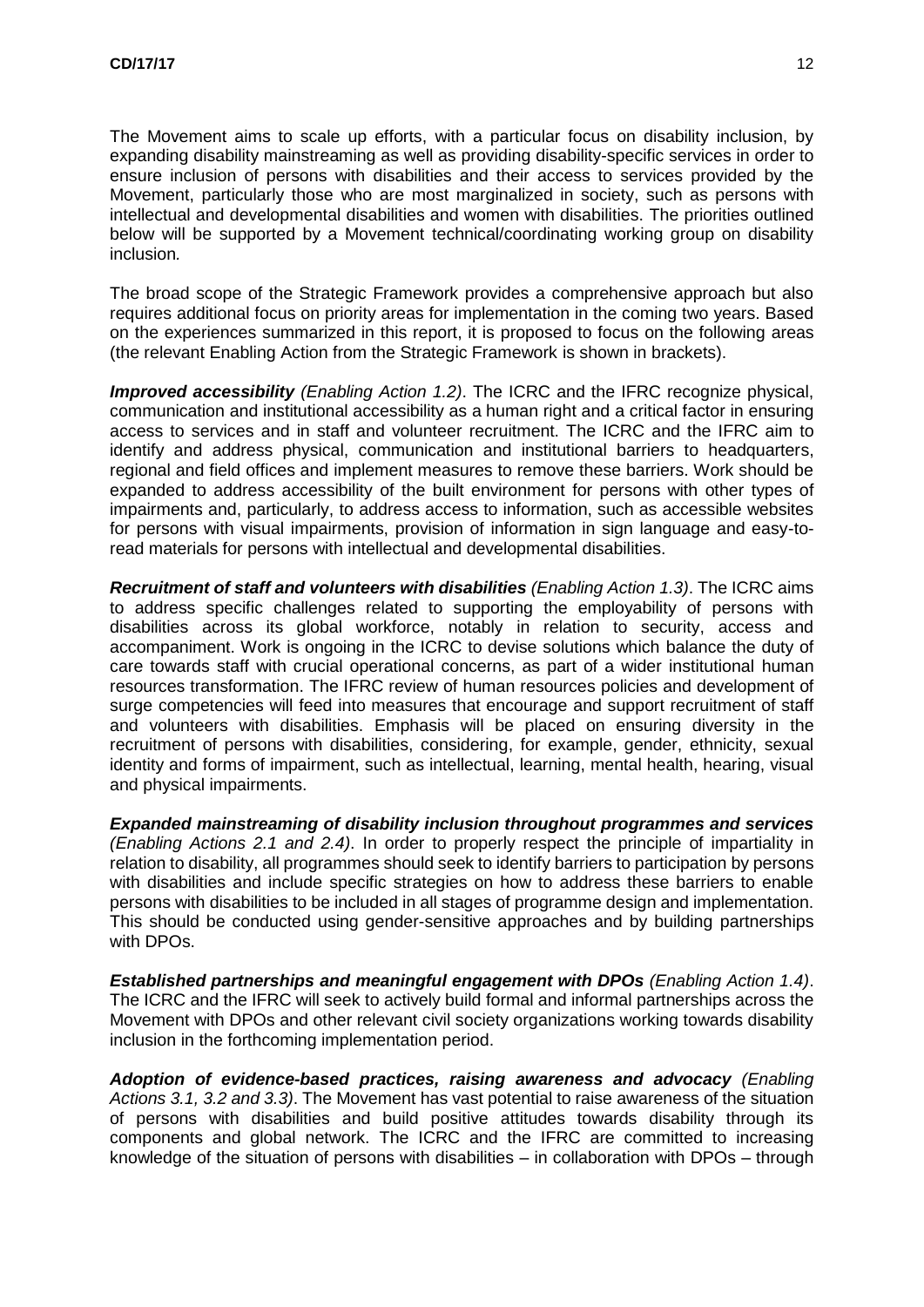The Movement aims to scale up efforts, with a particular focus on disability inclusion, by expanding disability mainstreaming as well as providing disability-specific services in order to ensure inclusion of persons with disabilities and their access to services provided by the Movement, particularly those who are most marginalized in society, such as persons with intellectual and developmental disabilities and women with disabilities. The priorities outlined below will be supported by a Movement technical/coordinating working group on disability inclusion*.*

The broad scope of the Strategic Framework provides a comprehensive approach but also requires additional focus on priority areas for implementation in the coming two years. Based on the experiences summarized in this report, it is proposed to focus on the following areas (the relevant Enabling Action from the Strategic Framework is shown in brackets).

*Improved accessibility (Enabling Action 1.2)*. The ICRC and the IFRC recognize physical, communication and institutional accessibility as a human right and a critical factor in ensuring access to services and in staff and volunteer recruitment. The ICRC and the IFRC aim to identify and address physical, communication and institutional barriers to headquarters, regional and field offices and implement measures to remove these barriers. Work should be expanded to address accessibility of the built environment for persons with other types of impairments and, particularly, to address access to information, such as accessible websites for persons with visual impairments, provision of information in sign language and easy-toread materials for persons with intellectual and developmental disabilities.

*Recruitment of staff and volunteers with disabilities (Enabling Action 1.3)*. The ICRC aims to address specific challenges related to supporting the employability of persons with disabilities across its global workforce, notably in relation to security, access and accompaniment. Work is ongoing in the ICRC to devise solutions which balance the duty of care towards staff with crucial operational concerns, as part of a wider institutional human resources transformation. The IFRC review of human resources policies and development of surge competencies will feed into measures that encourage and support recruitment of staff and volunteers with disabilities. Emphasis will be placed on ensuring diversity in the recruitment of persons with disabilities, considering, for example, gender, ethnicity, sexual identity and forms of impairment, such as intellectual, learning, mental health, hearing, visual and physical impairments.

*Expanded mainstreaming of disability inclusion throughout programmes and services (Enabling Actions 2.1 and 2.4)*. In order to properly respect the principle of impartiality in relation to disability, all programmes should seek to identify barriers to participation by persons with disabilities and include specific strategies on how to address these barriers to enable persons with disabilities to be included in all stages of programme design and implementation. This should be conducted using gender-sensitive approaches and by building partnerships with DPOs.

**Established partnerships and meaningful engagement with DPOs (Enabling Action 1.4).** The ICRC and the IFRC will seek to actively build formal and informal partnerships across the Movement with DPOs and other relevant civil society organizations working towards disability inclusion in the forthcoming implementation period.

*Adoption of evidence-based practices, raising awareness and advocacy (Enabling Actions 3.1, 3.2 and 3.3)*. The Movement has vast potential to raise awareness of the situation of persons with disabilities and build positive attitudes towards disability through its components and global network. The ICRC and the IFRC are committed to increasing knowledge of the situation of persons with disabilities – in collaboration with DPOs – through